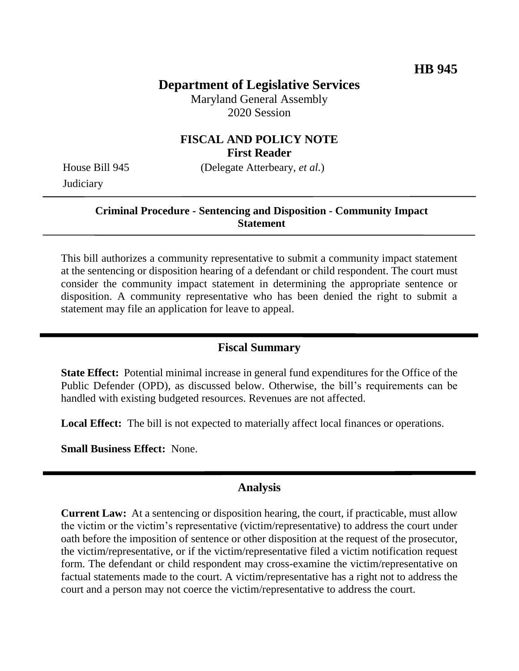## **Department of Legislative Services**

Maryland General Assembly 2020 Session

#### **FISCAL AND POLICY NOTE First Reader**

House Bill 945 (Delegate Atterbeary, *et al.*) **Judiciary** 

# **Criminal Procedure - Sentencing and Disposition - Community Impact**

**Statement**

This bill authorizes a community representative to submit a community impact statement at the sentencing or disposition hearing of a defendant or child respondent. The court must consider the community impact statement in determining the appropriate sentence or disposition. A community representative who has been denied the right to submit a statement may file an application for leave to appeal.

#### **Fiscal Summary**

**State Effect:** Potential minimal increase in general fund expenditures for the Office of the Public Defender (OPD), as discussed below. Otherwise, the bill's requirements can be handled with existing budgeted resources. Revenues are not affected.

**Local Effect:** The bill is not expected to materially affect local finances or operations.

**Small Business Effect:** None.

### **Analysis**

**Current Law:** At a sentencing or disposition hearing, the court, if practicable, must allow the victim or the victim's representative (victim/representative) to address the court under oath before the imposition of sentence or other disposition at the request of the prosecutor, the victim/representative, or if the victim/representative filed a victim notification request form. The defendant or child respondent may cross-examine the victim/representative on factual statements made to the court. A victim/representative has a right not to address the court and a person may not coerce the victim/representative to address the court.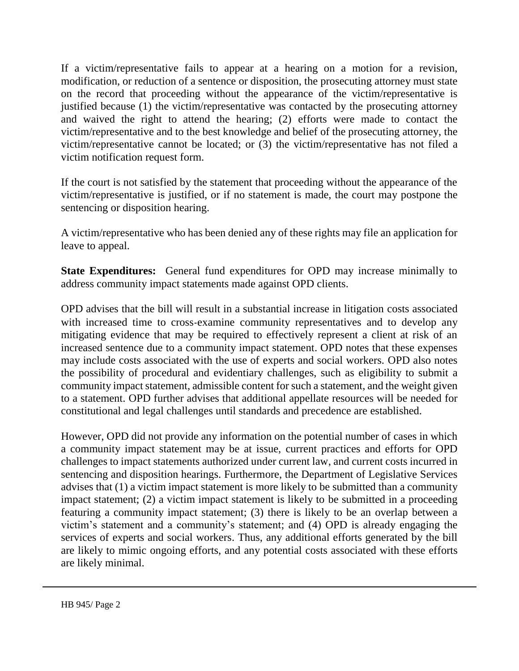If a victim/representative fails to appear at a hearing on a motion for a revision, modification, or reduction of a sentence or disposition, the prosecuting attorney must state on the record that proceeding without the appearance of the victim/representative is justified because (1) the victim/representative was contacted by the prosecuting attorney and waived the right to attend the hearing; (2) efforts were made to contact the victim/representative and to the best knowledge and belief of the prosecuting attorney, the victim/representative cannot be located; or (3) the victim/representative has not filed a victim notification request form.

If the court is not satisfied by the statement that proceeding without the appearance of the victim/representative is justified, or if no statement is made, the court may postpone the sentencing or disposition hearing.

A victim/representative who has been denied any of these rights may file an application for leave to appeal.

**State Expenditures:** General fund expenditures for OPD may increase minimally to address community impact statements made against OPD clients.

OPD advises that the bill will result in a substantial increase in litigation costs associated with increased time to cross-examine community representatives and to develop any mitigating evidence that may be required to effectively represent a client at risk of an increased sentence due to a community impact statement. OPD notes that these expenses may include costs associated with the use of experts and social workers. OPD also notes the possibility of procedural and evidentiary challenges, such as eligibility to submit a community impact statement, admissible content for such a statement, and the weight given to a statement. OPD further advises that additional appellate resources will be needed for constitutional and legal challenges until standards and precedence are established.

However, OPD did not provide any information on the potential number of cases in which a community impact statement may be at issue, current practices and efforts for OPD challenges to impact statements authorized under current law, and current costs incurred in sentencing and disposition hearings. Furthermore, the Department of Legislative Services advises that (1) a victim impact statement is more likely to be submitted than a community impact statement; (2) a victim impact statement is likely to be submitted in a proceeding featuring a community impact statement; (3) there is likely to be an overlap between a victim's statement and a community's statement; and (4) OPD is already engaging the services of experts and social workers. Thus, any additional efforts generated by the bill are likely to mimic ongoing efforts, and any potential costs associated with these efforts are likely minimal.